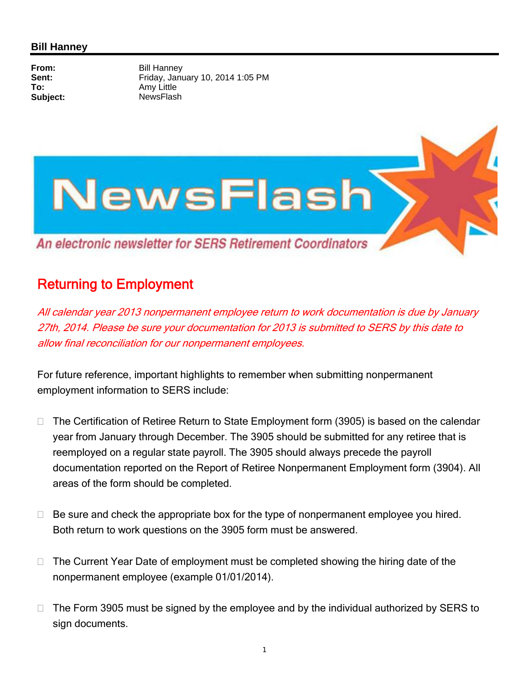## **Bill Hanney**

**From:** Bill Hanney<br> **Sent:** Fridav. Janu **Sent:** Friday, January 10, 2014 1:05 PM<br> **To:** Amy Little **To:** Amy Little Subject: NewsFlash



## Returning to Employment

All calendar year 2013 nonpermanent employee return to work documentation is due by January 27th, 2014. Please be sure your documentation for 2013 is submitted to SERS by this date to allow final reconciliation for our nonpermanent employees.

For future reference, important highlights to remember when submitting nonpermanent employment information to SERS include:

- $\Box$  The Certification of Retiree Return to State Employment form (3905) is based on the calendar year from January through December. The 3905 should be submitted for any retiree that is reemployed on a regular state payroll. The 3905 should always precede the payroll documentation reported on the Report of Retiree Nonpermanent Employment form (3904). All areas of the form should be completed.
- $\Box$  Be sure and check the appropriate box for the type of nonpermanent employee you hired. Both return to work questions on the 3905 form must be answered.
- $\Box$  The Current Year Date of employment must be completed showing the hiring date of the nonpermanent employee (example 01/01/2014).
- $\Box$  The Form 3905 must be signed by the employee and by the individual authorized by SERS to sign documents.